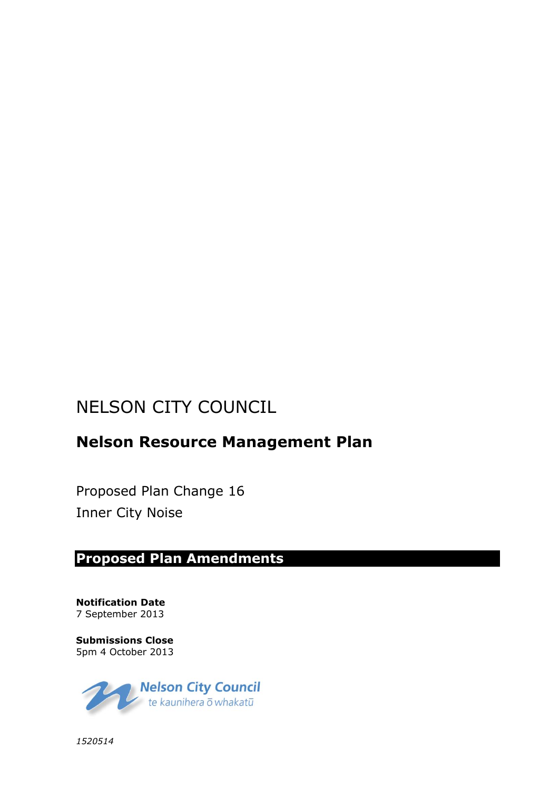# NELSON CITY COUNCIL

# **Nelson Resource Management Plan**

Proposed Plan Change 16 Inner City Noise

# **Proposed Plan Amendments**

**Notification Date** 7 September 2013

**Submissions Close** 5pm 4 October 2013



*1520514*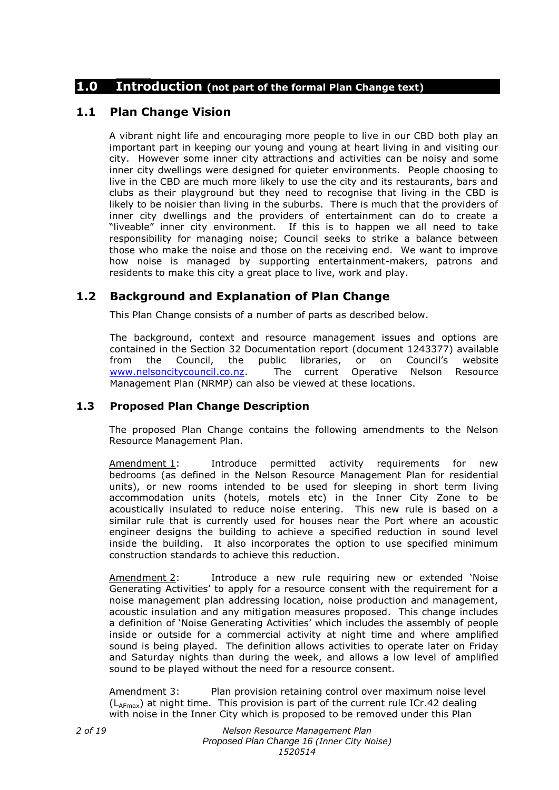## **1.0 Introduction (not part of the formal Plan Change text)**

## **1.1 Plan Change Vision**

A vibrant night life and encouraging more people to live in our CBD both play an important part in keeping our young and young at heart living in and visiting our city. However some inner city attractions and activities can be noisy and some inner city dwellings were designed for quieter environments. People choosing to live in the CBD are much more likely to use the city and its restaurants, bars and clubs as their playground but they need to recognise that living in the CBD is likely to be noisier than living in the suburbs. There is much that the providers of inner city dwellings and the providers of entertainment can do to create a "liveable" inner city environment. If this is to happen we all need to take responsibility for managing noise; Council seeks to strike a balance between those who make the noise and those on the receiving end. We want to improve how noise is managed by supporting entertainment-makers, patrons and residents to make this city a great place to live, work and play.

## **1.2 Background and Explanation of Plan Change**

This Plan Change consists of a number of parts as described below.

The background, context and resource management issues and options are contained in the Section 32 Documentation report (document 1243377) available from the Council, the public libraries, or on Council's website [www.nelsoncitycouncil.co.nz.](http://www.nelsoncitycouncil.co.nz/) The current Operative Nelson Resource Management Plan (NRMP) can also be viewed at these locations.

## **1.3 Proposed Plan Change Description**

The proposed Plan Change contains the following amendments to the Nelson Resource Management Plan.

Amendment 1: Introduce permitted activity requirements for new bedrooms (as defined in the Nelson Resource Management Plan for residential units), or new rooms intended to be used for sleeping in short term living accommodation units (hotels, motels etc) in the Inner City Zone to be acoustically insulated to reduce noise entering. This new rule is based on a similar rule that is currently used for houses near the Port where an acoustic engineer designs the building to achieve a specified reduction in sound level inside the building. It also incorporates the option to use specified minimum construction standards to achieve this reduction.

Amendment 2: Introduce a new rule requiring new or extended 'Noise Generating Activities' to apply for a resource consent with the requirement for a noise management plan addressing location, noise production and management, acoustic insulation and any mitigation measures proposed. This change includes a definition of 'Noise Generating Activities' which includes the assembly of people inside or outside for a commercial activity at night time and where amplified sound is being played. The definition allows activities to operate later on Friday and Saturday nights than during the week, and allows a low level of amplified sound to be played without the need for a resource consent.

Amendment 3: Plan provision retaining control over maximum noise level  $(L_{AFmax})$  at night time. This provision is part of the current rule ICr.42 dealing with noise in the Inner City which is proposed to be removed under this Plan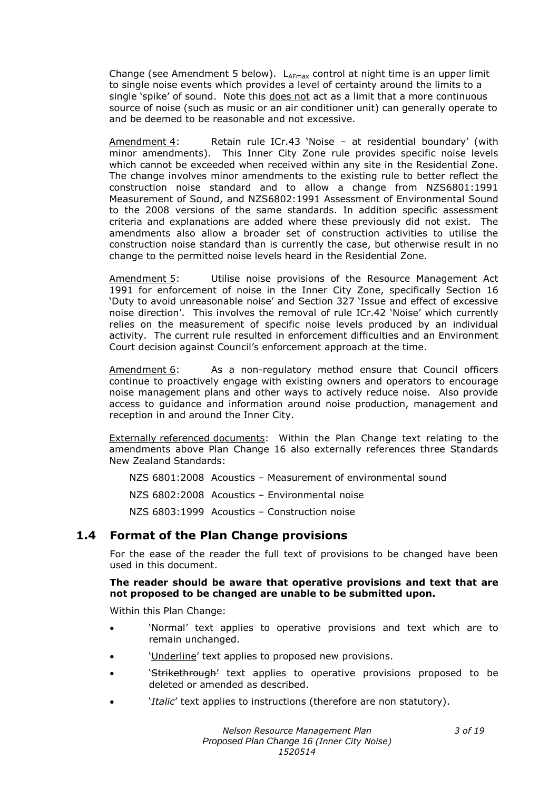Change (see Amendment 5 below).  $L_{AFmax}$  control at night time is an upper limit to single noise events which provides a level of certainty around the limits to a single 'spike' of sound. Note this does not act as a limit that a more continuous source of noise (such as music or an air conditioner unit) can generally operate to and be deemed to be reasonable and not excessive.

Amendment 4: Retain rule ICr.43 'Noise – at residential boundary' (with minor amendments). This Inner City Zone rule provides specific noise levels which cannot be exceeded when received within any site in the Residential Zone. The change involves minor amendments to the existing rule to better reflect the construction noise standard and to allow a change from NZS6801:1991 Measurement of Sound, and NZS6802:1991 Assessment of Environmental Sound to the 2008 versions of the same standards. In addition specific assessment criteria and explanations are added where these previously did not exist. The amendments also allow a broader set of construction activities to utilise the construction noise standard than is currently the case, but otherwise result in no change to the permitted noise levels heard in the Residential Zone.

Amendment 5: Utilise noise provisions of the Resource Management Act 1991 for enforcement of noise in the Inner City Zone, specifically Section 16 'Duty to avoid unreasonable noise' and Section 327 'Issue and effect of excessive noise direction'. This involves the removal of rule ICr.42 'Noise' which currently relies on the measurement of specific noise levels produced by an individual activity. The current rule resulted in enforcement difficulties and an Environment Court decision against Council's enforcement approach at the time.

Amendment 6: As a non-regulatory method ensure that Council officers continue to proactively engage with existing owners and operators to encourage noise management plans and other ways to actively reduce noise. Also provide access to guidance and information around noise production, management and reception in and around the Inner City.

Externally referenced documents: Within the Plan Change text relating to the amendments above Plan Change 16 also externally references three Standards New Zealand Standards:

NZS 6801:2008 Acoustics – Measurement of environmental sound

NZS 6802:2008 Acoustics – Environmental noise

NZS 6803:1999 Acoustics – Construction noise

## **1.4 Format of the Plan Change provisions**

For the ease of the reader the full text of provisions to be changed have been used in this document.

#### **The reader should be aware that operative provisions and text that are not proposed to be changed are unable to be submitted upon.**

Within this Plan Change:

- 'Normal' text applies to operative provisions and text which are to remain unchanged.
- 'Underline' text applies to proposed new provisions.
- 'Strikethrough' text applies to operative provisions proposed to be deleted or amended as described.
- '*Italic*' text applies to instructions (therefore are non statutory).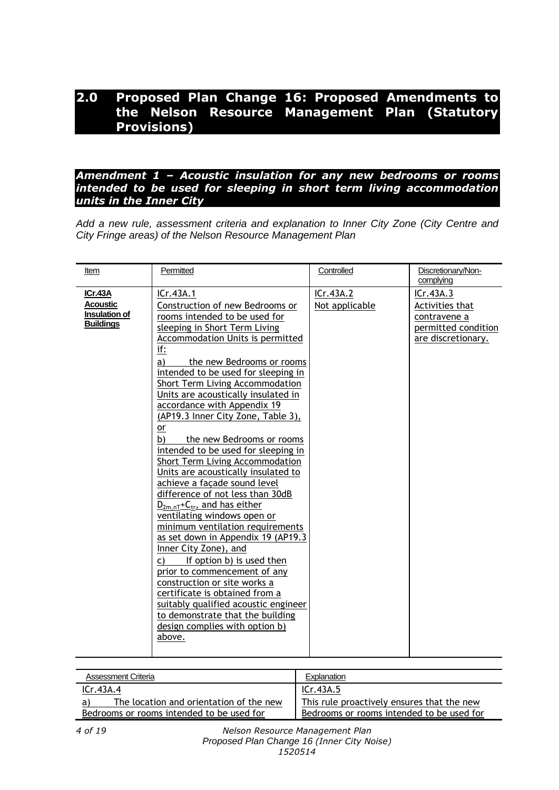# **2.0 Proposed Plan Change 16: Proposed Amendments to the Nelson Resource Management Plan (Statutory Provisions)**

### *Amendment 1 – Acoustic insulation for any new bedrooms or rooms intended to be used for sleeping in short term living accommodation units in the Inner City*

*Add a new rule, assessment criteria and explanation to Inner City Zone (City Centre and City Fringe areas) of the Nelson Resource Management Plan*

| Item                                                                          | Permitted                                                                                                                                                                                                                                                                                                                                                                                                                                                                                                                                                                                                                                                                                                                                                                                                                                                                                                                                                                                                                                                        | Controlled                  | Discretionary/Non-<br>complying                                                           |
|-------------------------------------------------------------------------------|------------------------------------------------------------------------------------------------------------------------------------------------------------------------------------------------------------------------------------------------------------------------------------------------------------------------------------------------------------------------------------------------------------------------------------------------------------------------------------------------------------------------------------------------------------------------------------------------------------------------------------------------------------------------------------------------------------------------------------------------------------------------------------------------------------------------------------------------------------------------------------------------------------------------------------------------------------------------------------------------------------------------------------------------------------------|-----------------------------|-------------------------------------------------------------------------------------------|
| <b>ICr.43A</b><br><b>Acoustic</b><br><b>Insulation of</b><br><b>Buildings</b> | ICr.43A.1<br>Construction of new Bedrooms or<br>rooms intended to be used for<br>sleeping in Short Term Living<br>Accommodation Units is permitted<br>if:<br>a)<br>the new Bedrooms or rooms<br>intended to be used for sleeping in<br>Short Term Living Accommodation<br>Units are acoustically insulated in<br>accordance with Appendix 19<br>(AP19.3 Inner City Zone, Table 3),<br>or<br>b)<br>the new Bedrooms or rooms<br>intended to be used for sleeping in<br>Short Term Living Accommodation<br>Units are acoustically insulated to<br>achieve a façade sound level<br>difference of not less than 30dB<br>$D_{2m,nT}$ +C <sub>tr</sub> , and has either<br>ventilating windows open or<br>minimum ventilation requirements<br>as set down in Appendix 19 (AP19.3<br>Inner City Zone), and<br>If option b) is used then<br>C)<br>prior to commencement of any<br>construction or site works a<br>certificate is obtained from a<br>suitably qualified acoustic engineer<br>to demonstrate that the building<br>design complies with option b)<br>above. | ICr.43A.2<br>Not applicable | ICr.43A.3<br>Activities that<br>contravene a<br>permitted condition<br>are discretionary. |
|                                                                               |                                                                                                                                                                                                                                                                                                                                                                                                                                                                                                                                                                                                                                                                                                                                                                                                                                                                                                                                                                                                                                                                  |                             |                                                                                           |

| <b>Assessment Criteria</b>                | Explanation                                |
|-------------------------------------------|--------------------------------------------|
| ICr.43A.4                                 | ICr.43A.5                                  |
| The location and orientation of the new   | This rule proactively ensures that the new |
| Bedrooms or rooms intended to be used for | Bedrooms or rooms intended to be used for  |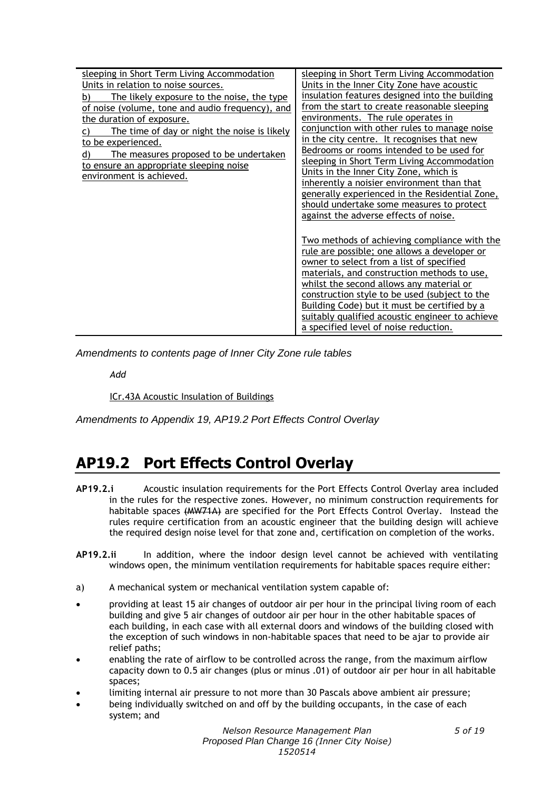| sleeping in Short Term Living Accommodation                                                                         | sleeping in Short Term Living Accommodation                                                                                                                                                                                                                                                                                                                                                                                      |  |
|---------------------------------------------------------------------------------------------------------------------|----------------------------------------------------------------------------------------------------------------------------------------------------------------------------------------------------------------------------------------------------------------------------------------------------------------------------------------------------------------------------------------------------------------------------------|--|
| Units in relation to noise sources.                                                                                 | Units in the Inner City Zone have acoustic                                                                                                                                                                                                                                                                                                                                                                                       |  |
| The likely exposure to the noise, the type<br>b)                                                                    | insulation features designed into the building                                                                                                                                                                                                                                                                                                                                                                                   |  |
| of noise (volume, tone and audio frequency), and                                                                    | from the start to create reasonable sleeping                                                                                                                                                                                                                                                                                                                                                                                     |  |
| the duration of exposure.                                                                                           | environments. The rule operates in                                                                                                                                                                                                                                                                                                                                                                                               |  |
| The time of day or night the noise is likely                                                                        | conjunction with other rules to manage noise                                                                                                                                                                                                                                                                                                                                                                                     |  |
| to be experienced.                                                                                                  | in the city centre. It recognises that new                                                                                                                                                                                                                                                                                                                                                                                       |  |
| The measures proposed to be undertaken<br>d)<br>to ensure an appropriate sleeping noise<br>environment is achieved. | Bedrooms or rooms intended to be used for<br>sleeping in Short Term Living Accommodation<br>Units in the Inner City Zone, which is<br>inherently a noisier environment than that<br>generally experienced in the Residential Zone,<br>should undertake some measures to protect<br>against the adverse effects of noise.                                                                                                         |  |
|                                                                                                                     | Two methods of achieving compliance with the<br>rule are possible; one allows a developer or<br>owner to select from a list of specified<br>materials, and construction methods to use,<br>whilst the second allows any material or<br>construction style to be used (subject to the<br>Building Code) but it must be certified by a<br>suitably qualified acoustic engineer to achieve<br>a specified level of noise reduction. |  |

*Amendments to contents page of Inner City Zone rule tables*

*Add*

ICr.43A Acoustic Insulation of Buildings

*Amendments to Appendix 19, AP19.2 Port Effects Control Overlay*

# **AP19.2 Port Effects Control Overlay**

- **AP19.2.i** Acoustic insulation requirements for the Port Effects Control Overlay area included in the rules for the respective zones. However, no minimum construction requirements for habitable spaces (MW71A) are specified for the Port Effects Control Overlay. Instead the rules require certification from an acoustic engineer that the building design will achieve the required design noise level for that zone and, certification on completion of the works.
- **AP19.2.ii** In addition, where the indoor design level cannot be achieved with ventilating windows open, the minimum ventilation requirements for habitable spaces require either:
- a) A mechanical system or mechanical ventilation system capable of:
- providing at least 15 air changes of outdoor air per hour in the principal living room of each building and give 5 air changes of outdoor air per hour in the other habitable spaces of each building, in each case with all external doors and windows of the building closed with the exception of such windows in non-habitable spaces that need to be ajar to provide air relief paths;
- enabling the rate of airflow to be controlled across the range, from the maximum airflow capacity down to 0.5 air changes (plus or minus .01) of outdoor air per hour in all habitable spaces;
- limiting internal air pressure to not more than 30 Pascals above ambient air pressure;
- being individually switched on and off by the building occupants, in the case of each system; and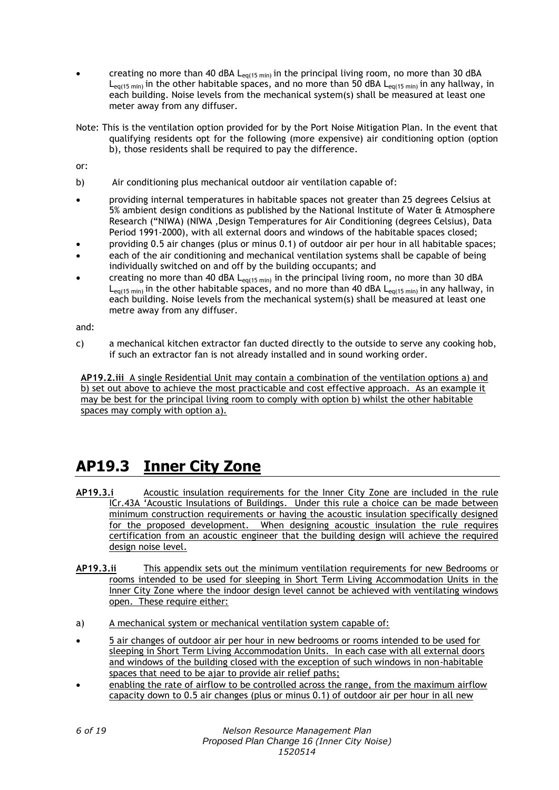- creating no more than 40 dBA  $L_{eq(15 min)}$  in the principal living room, no more than 30 dBA  $L_{\text{eq}(15 \text{ min})}$  in the other habitable spaces, and no more than 50 dBA  $L_{\text{eq}(15 \text{ min})}$  in any hallway, in each building. Noise levels from the mechanical system(s) shall be measured at least one meter away from any diffuser.
- Note: This is the ventilation option provided for by the Port Noise Mitigation Plan. In the event that qualifying residents opt for the following (more expensive) air conditioning option (option b), those residents shall be required to pay the difference.

or:

- b) Air conditioning plus mechanical outdoor air ventilation capable of:
- providing internal temperatures in habitable spaces not greater than 25 degrees Celsius at 5% ambient design conditions as published by the National Institute of Water & Atmosphere Research ("NIWA) (NIWA ,Design Temperatures for Air Conditioning (degrees Celsius), Data Period 1991-2000), with all external doors and windows of the habitable spaces closed;
- providing 0.5 air changes (plus or minus 0.1) of outdoor air per hour in all habitable spaces;
- each of the air conditioning and mechanical ventilation systems shall be capable of being individually switched on and off by the building occupants; and
- creating no more than 40 dBA  $L_{eq(15 min)}$  in the principal living room, no more than 30 dBA  $L_{eq(15 \text{ min})}$  in the other habitable spaces, and no more than 40 dBA  $L_{eq(15 \text{ min})}$  in any hallway, in each building. Noise levels from the mechanical system(s) shall be measured at least one metre away from any diffuser.

and:

c) a mechanical kitchen extractor fan ducted directly to the outside to serve any cooking hob, if such an extractor fan is not already installed and in sound working order.

**AP19.2.iii** A single Residential Unit may contain a combination of the ventilation options a) and b) set out above to achieve the most practicable and cost effective approach. As an example it may be best for the principal living room to comply with option b) whilst the other habitable spaces may comply with option a).

# **AP19.3 Inner City Zone**

- **AP19.3.i** Acoustic insulation requirements for the Inner City Zone are included in the rule ICr.43A 'Acoustic Insulations of Buildings. Under this rule a choice can be made between minimum construction requirements or having the acoustic insulation specifically designed for the proposed development. When designing acoustic insulation the rule requires certification from an acoustic engineer that the building design will achieve the required design noise level.
- **AP19.3.ii** This appendix sets out the minimum ventilation requirements for new Bedrooms or rooms intended to be used for sleeping in Short Term Living Accommodation Units in the Inner City Zone where the indoor design level cannot be achieved with ventilating windows open. These require either:
- a) A mechanical system or mechanical ventilation system capable of:
- 5 air changes of outdoor air per hour in new bedrooms or rooms intended to be used for sleeping in Short Term Living Accommodation Units. In each case with all external doors and windows of the building closed with the exception of such windows in non-habitable spaces that need to be ajar to provide air relief paths;
- enabling the rate of airflow to be controlled across the range, from the maximum airflow capacity down to 0.5 air changes (plus or minus 0.1) of outdoor air per hour in all new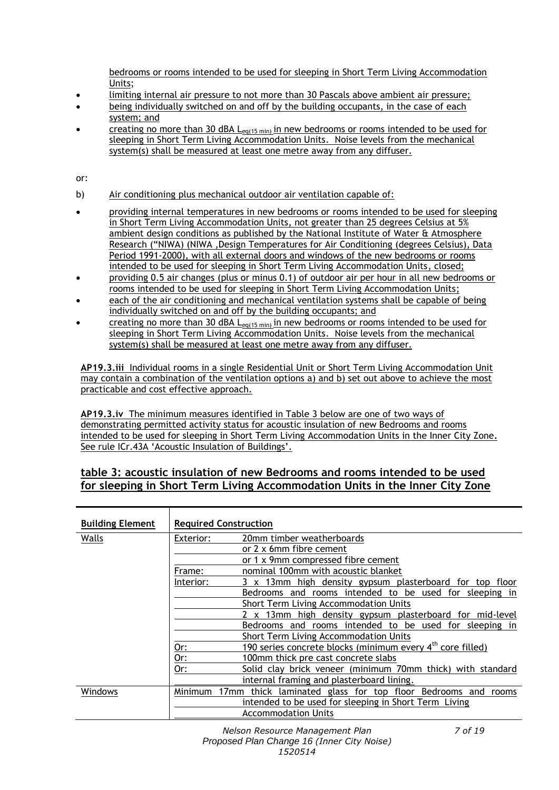bedrooms or rooms intended to be used for sleeping in Short Term Living Accommodation Units;

- limiting internal air pressure to not more than 30 Pascals above ambient air pressure;
- being individually switched on and off by the building occupants, in the case of each system; and
- creating no more than 30 dBA  $L_{eq(15 min)}$  in new bedrooms or rooms intended to be used for sleeping in Short Term Living Accommodation Units. Noise levels from the mechanical system(s) shall be measured at least one metre away from any diffuser.

or:

- b) Air conditioning plus mechanical outdoor air ventilation capable of:
- **•** providing internal temperatures in new bedrooms or rooms intended to be used for sleeping in Short Term Living Accommodation Units, not greater than 25 degrees Celsius at 5% ambient design conditions as published by the National Institute of Water & Atmosphere Research ("NIWA) (NIWA ,Design Temperatures for Air Conditioning (degrees Celsius), Data Period 1991-2000), with all external doors and windows of the new bedrooms or rooms intended to be used for sleeping in Short Term Living Accommodation Units, closed;
- providing 0.5 air changes (plus or minus 0.1) of outdoor air per hour in all new bedrooms or rooms intended to be used for sleeping in Short Term Living Accommodation Units;
- each of the air conditioning and mechanical ventilation systems shall be capable of being individually switched on and off by the building occupants; and
- creating no more than 30 dBA  $L_{eq(15 min)}$  in new bedrooms or rooms intended to be used for sleeping in Short Term Living Accommodation Units. Noise levels from the mechanical system(s) shall be measured at least one metre away from any diffuser.

**AP19.3.iii** Individual rooms in a single Residential Unit or Short Term Living Accommodation Unit may contain a combination of the ventilation options a) and b) set out above to achieve the most practicable and cost effective approach.

**AP19.3.iv** The minimum measures identified in Table 3 below are one of two ways of demonstrating permitted activity status for acoustic insulation of new Bedrooms and rooms intended to be used for sleeping in Short Term Living Accommodation Units in the Inner City Zone**.**  See rule ICr.43A 'Acoustic Insulation of Buildings'.

### **table 3: acoustic insulation of new Bedrooms and rooms intended to be used for sleeping in Short Term Living Accommodation Units in the Inner City Zone**

| <b>Building Element</b> | <b>Required Construction</b>                           |                                                              |
|-------------------------|--------------------------------------------------------|--------------------------------------------------------------|
| Walls                   | Exterior:                                              | 20mm timber weatherboards                                    |
|                         |                                                        | or 2 x 6mm fibre cement                                      |
|                         |                                                        | or 1 x 9mm compressed fibre cement                           |
|                         | Frame:                                                 | nominal 100mm with acoustic blanket                          |
|                         | Interior:                                              | 3 x 13mm high density gypsum plasterboard for top floor      |
|                         |                                                        | Bedrooms and rooms intended to be used for sleeping in       |
|                         | <b>Short Term Living Accommodation Units</b>           |                                                              |
|                         | 13mm high density gypsum plasterboard for mid-level    |                                                              |
|                         | Bedrooms and rooms intended to be used for sleeping in |                                                              |
|                         | Short Term Living Accommodation Units                  |                                                              |
|                         | Or:                                                    | 190 series concrete blocks (minimum every $4th$ core filled) |
|                         | Or:                                                    | 100mm thick pre cast concrete slabs                          |
|                         | Or:                                                    | Solid clay brick veneer (minimum 70mm thick) with standard   |
|                         |                                                        | internal framing and plasterboard lining.                    |
| Windows                 | Minimum<br>17mm                                        | thick laminated glass for top floor Bedrooms and<br>rooms    |
|                         |                                                        | intended to be used for sleeping in Short Term Living        |
|                         |                                                        | <b>Accommodation Units</b>                                   |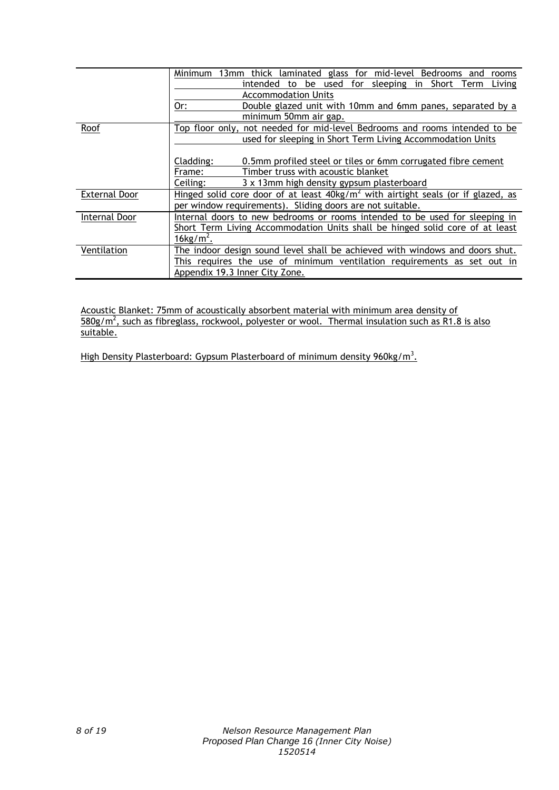|                      | 13mm thick laminated glass for mid-level<br>Minimum<br>Bedrooms and<br>rooms                                                                                                              |  |  |
|----------------------|-------------------------------------------------------------------------------------------------------------------------------------------------------------------------------------------|--|--|
|                      | intended to be used for sleeping in Short Term<br>Living                                                                                                                                  |  |  |
|                      | <b>Accommodation Units</b>                                                                                                                                                                |  |  |
|                      | Or:<br>Double glazed unit with 10mm and 6mm panes, separated by a                                                                                                                         |  |  |
|                      | minimum 50mm air gap.                                                                                                                                                                     |  |  |
| Roof                 | Top floor only, not needed for mid-level Bedrooms and rooms intended to be<br>used for sleeping in Short Term Living Accommodation Units                                                  |  |  |
|                      | Cladding:<br>0.5mm profiled steel or tiles or 6mm corrugated fibre cement<br>Timber truss with acoustic blanket<br>Frame:<br>Ceiling:<br>3 x 13mm high density gypsum plasterboard        |  |  |
| <b>External Door</b> | Hinged solid core door of at least $40kg/m^2$ with airtight seals (or if glazed, as<br>per window requirements). Sliding doors are not suitable.                                          |  |  |
| Internal Door        | Internal doors to new bedrooms or rooms intended to be used for sleeping in<br>Short Term Living Accommodation Units shall be hinged solid core of at least<br>$16$ kg/m <sup>2</sup> .   |  |  |
| Ventilation          | The indoor design sound level shall be achieved with windows and doors shut.<br>This requires the use of minimum ventilation requirements as set out in<br>Appendix 19.3 Inner City Zone. |  |  |

Acoustic Blanket: 75mm of acoustically absorbent material with minimum area density of  $580g/m^2$ , such as fibreglass, rockwool, polyester or wool. Thermal insulation such as R1.8 is also suitable.

High Density Plasterboard: Gypsum Plasterboard of minimum density 960kg/m<sup>3</sup>.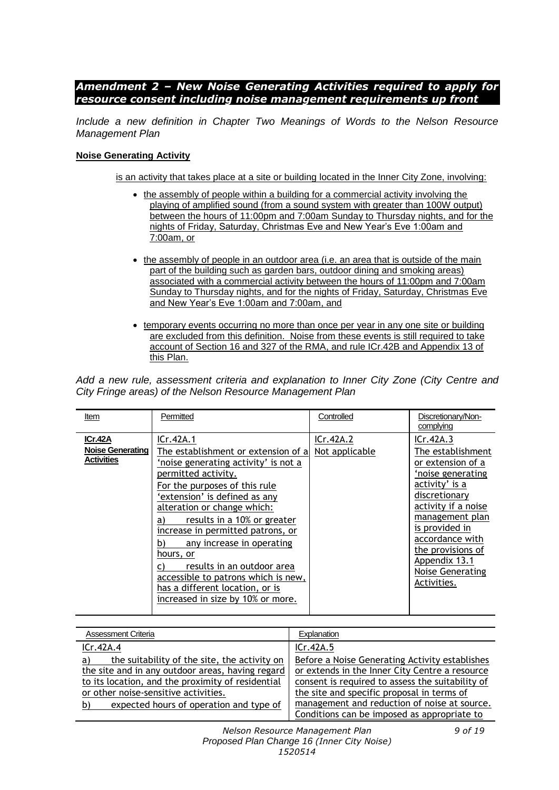### *Amendment 2 – New Noise Generating Activities required to apply for resource consent including noise management requirements up front*

*Include a new definition in Chapter Two Meanings of Words to the Nelson Resource Management Plan*

#### **Noise Generating Activity**

is an activity that takes place at a site or building located in the Inner City Zone, involving:

- the assembly of people within a building for a commercial activity involving the playing of amplified sound (from a sound system with greater than 100W output) between the hours of 11:00pm and 7:00am Sunday to Thursday nights, and for the nights of Friday, Saturday, Christmas Eve and New Year's Eve 1:00am and 7:00am, or
- the assembly of people in an outdoor area (i.e. an area that is outside of the main part of the building such as garden bars, outdoor dining and smoking areas) associated with a commercial activity between the hours of 11:00pm and 7:00am Sunday to Thursday nights, and for the nights of Friday, Saturday, Christmas Eve and New Year's Eve 1:00am and 7:00am, and
- temporary events occurring no more than once per year in any one site or building are excluded from this definition. Noise from these events is still required to take account of Section 16 and 327 of the RMA, and rule ICr.42B and Appendix 13 of this Plan.

*Add a new rule, assessment criteria and explanation to Inner City Zone (City Centre and City Fringe areas) of the Nelson Resource Management Plan*

| Item                                                    | Permitted                                                                                                                                                                                                                                                                                                                                                                                                                                                                                | Controlled                  | Discretionary/Non-<br>complying                                                                                                                                                                                                                                     |
|---------------------------------------------------------|------------------------------------------------------------------------------------------------------------------------------------------------------------------------------------------------------------------------------------------------------------------------------------------------------------------------------------------------------------------------------------------------------------------------------------------------------------------------------------------|-----------------------------|---------------------------------------------------------------------------------------------------------------------------------------------------------------------------------------------------------------------------------------------------------------------|
| ICr.42A<br><b>Noise Generating</b><br><b>Activities</b> | ICr.42A.1<br>The establishment or extension of al<br>'noise generating activity' is not a<br>permitted activity.<br>For the purposes of this rule<br>'extension' is defined as any<br>alteration or change which:<br>results in a 10% or greater<br>a)<br>increase in permitted patrons, or<br>any increase in operating<br>b)<br>hours, or<br>results in an outdoor area<br>accessible to patrons which is new,<br>has a different location, or is<br>increased in size by 10% or more. | ICr.42A.2<br>Not applicable | ICr.42A.3<br>The establishment<br>or extension of a<br>'noise generating<br>activity' is a<br>discretionary<br>activity if a noise<br>management plan<br>is provided in<br>accordance with<br>the provisions of<br>Appendix 13.1<br>Noise Generating<br>Activities. |

| Assessment Criteria                                | Explanation                                      |
|----------------------------------------------------|--------------------------------------------------|
| ICr.42A.4                                          | ICr.42A.5                                        |
| the suitability of the site, the activity on<br>a) | Before a Noise Generating Activity establishes   |
| the site and in any outdoor areas, having regard   | or extends in the Inner City Centre a resource   |
| to its location, and the proximity of residential  | consent is required to assess the suitability of |
| or other noise-sensitive activities.               | the site and specific proposal in terms of       |
| expected hours of operation and type of<br>b)      | management and reduction of noise at source.     |
|                                                    | Conditions can be imposed as appropriate to      |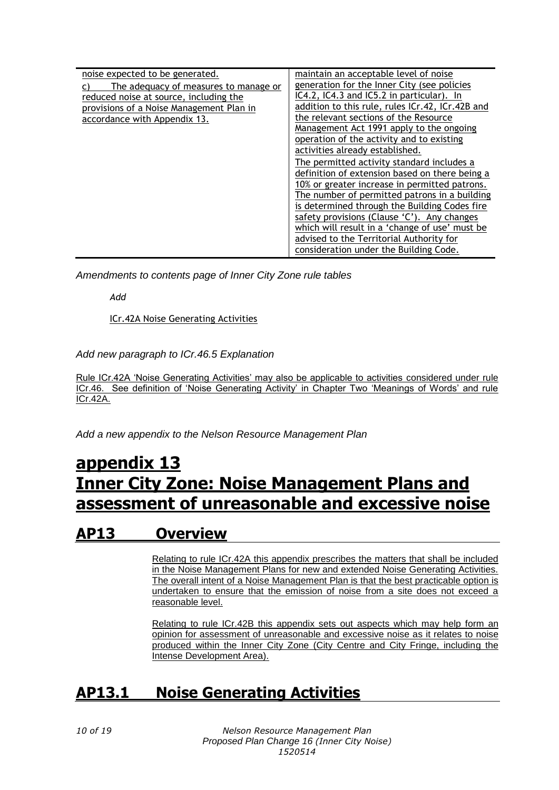| noise expected to be generated.          | maintain an acceptable level of noise            |
|------------------------------------------|--------------------------------------------------|
| The adequacy of measures to manage or    | generation for the Inner City (see policies      |
| reduced noise at source, including the   | IC4.2, IC4.3 and IC5.2 in particular). In        |
| provisions of a Noise Management Plan in | addition to this rule, rules ICr.42, ICr.42B and |
| accordance with Appendix 13.             | the relevant sections of the Resource            |
|                                          | Management Act 1991 apply to the ongoing         |
|                                          | operation of the activity and to existing        |
|                                          | activities already established.                  |
|                                          | The permitted activity standard includes a       |
|                                          | definition of extension based on there being a   |
|                                          | 10% or greater increase in permitted patrons.    |
|                                          | The number of permitted patrons in a building    |
|                                          | is determined through the Building Codes fire    |
|                                          | safety provisions (Clause 'C'). Any changes      |
|                                          | which will result in a 'change of use' must be   |
|                                          | advised to the Territorial Authority for         |
|                                          | consideration under the Building Code.           |

*Amendments to contents page of Inner City Zone rule tables*

*Add*

ICr.42A Noise Generating Activities

*Add new paragraph to ICr.46.5 Explanation*

Rule ICr.42A 'Noise Generating Activities' may also be applicable to activities considered under rule ICr.46. See definition of 'Noise Generating Activity' in Chapter Two 'Meanings of Words' and rule ICr.42A.

*Add a new appendix to the Nelson Resource Management Plan*

# **appendix 13 Inner City Zone: Noise Management Plans and assessment of unreasonable and excessive noise**

# **AP13 Overview**

Relating to rule ICr.42A this appendix prescribes the matters that shall be included in the Noise Management Plans for new and extended Noise Generating Activities. The overall intent of a Noise Management Plan is that the best practicable option is undertaken to ensure that the emission of noise from a site does not exceed a reasonable level.

Relating to rule ICr.42B this appendix sets out aspects which may help form an opinion for assessment of unreasonable and excessive noise as it relates to noise produced within the Inner City Zone (City Centre and City Fringe, including the Intense Development Area).

# **AP13.1 Noise Generating Activities**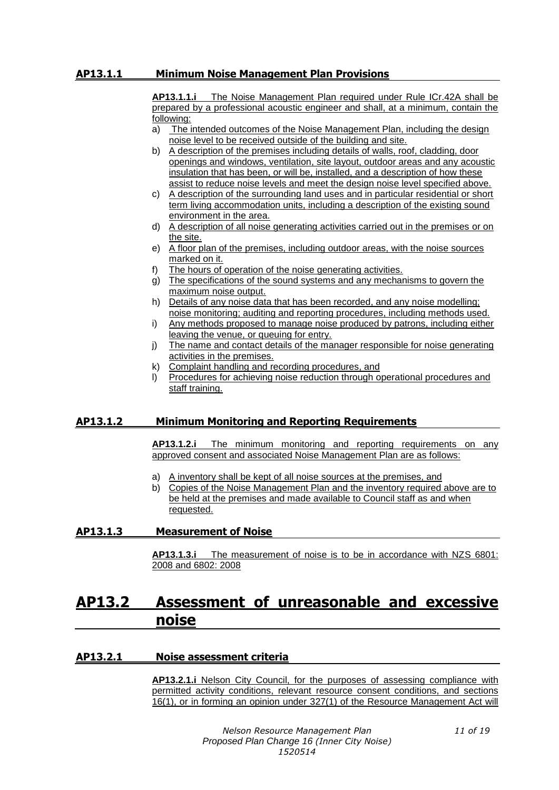#### **AP13.1.1 Minimum Noise Management Plan Provisions**

**AP13.1.1.i** The Noise Management Plan required under Rule ICr.42A shall be prepared by a professional acoustic engineer and shall, at a minimum, contain the following:

- a) The intended outcomes of the Noise Management Plan, including the design noise level to be received outside of the building and site.
- b) A description of the premises including details of walls, roof, cladding, door openings and windows, ventilation, site layout, outdoor areas and any acoustic insulation that has been, or will be, installed, and a description of how these assist to reduce noise levels and meet the design noise level specified above.
- c) A description of the surrounding land uses and in particular residential or short term living accommodation units, including a description of the existing sound environment in the area.
- d) A description of all noise generating activities carried out in the premises or on the site.
- e) A floor plan of the premises, including outdoor areas, with the noise sources marked on it.
- f) The hours of operation of the noise generating activities.
- g) The specifications of the sound systems and any mechanisms to govern the maximum noise output.
- h) Details of any noise data that has been recorded, and any noise modelling; noise monitoring; auditing and reporting procedures, including methods used.
- i) Any methods proposed to manage noise produced by patrons, including either leaving the venue, or queuing for entry.
- j) The name and contact details of the manager responsible for noise generating activities in the premises.
- k) Complaint handling and recording procedures, and
- l) Procedures for achieving noise reduction through operational procedures and staff training.

#### **AP13.1.2 Minimum Monitoring and Reporting Requirements**

**AP13.1.2.i** The minimum monitoring and reporting requirements on any approved consent and associated Noise Management Plan are as follows:

- a) A inventory shall be kept of all noise sources at the premises, and
- b) Copies of the Noise Management Plan and the inventory required above are to be held at the premises and made available to Council staff as and when requested.

#### **AP13.1.3 Measurement of Noise**

**AP13.1.3.i** The measurement of noise is to be in accordance with NZS 6801: 2008 and 6802: 2008

# **AP13.2 Assessment of unreasonable and excessive noise**

#### **AP13.2.1 Noise assessment criteria**

**AP13.2.1.i** Nelson City Council, for the purposes of assessing compliance with permitted activity conditions, relevant resource consent conditions, and sections 16(1), or in forming an opinion under 327(1) of the Resource Management Act will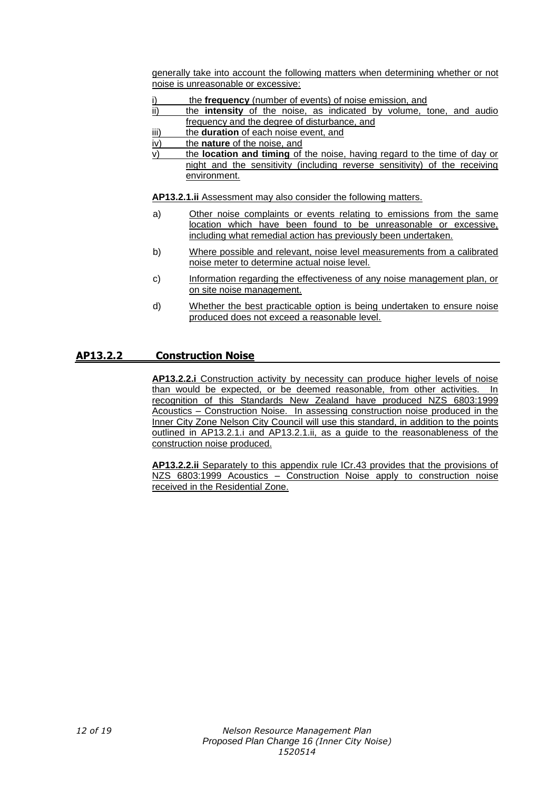generally take into account the following matters when determining whether or not noise is unreasonable or excessive:

- the **frequency** (number of events) of noise emission, and
- ii) the **intensity** of the noise, as indicated by volume, tone, and audio frequency and the degree of disturbance, and
- iii) the **duration** of each noise event, and
- iv) the **nature** of the noise, and
- v) the **location and timing** of the noise, having regard to the time of day or night and the sensitivity (including reverse sensitivity) of the receiving environment.

**AP13.2.1.ii** Assessment may also consider the following matters.

- a) Other noise complaints or events relating to emissions from the same location which have been found to be unreasonable or excessive, including what remedial action has previously been undertaken.
- b) Where possible and relevant, noise level measurements from a calibrated noise meter to determine actual noise level.
- c) Information regarding the effectiveness of any noise management plan, or on site noise management.
- d) Whether the best practicable option is being undertaken to ensure noise produced does not exceed a reasonable level.

#### **AP13.2.2 Construction Noise**

**AP13.2.2.i** Construction activity by necessity can produce higher levels of noise than would be expected, or be deemed reasonable, from other activities. In recognition of this Standards New Zealand have produced NZS 6803:1999 Acoustics – Construction Noise. In assessing construction noise produced in the Inner City Zone Nelson City Council will use this standard, in addition to the points outlined in AP13.2.1.i and AP13.2.1.ii, as a guide to the reasonableness of the construction noise produced.

**AP13.2.2.ii** Separately to this appendix rule ICr.43 provides that the provisions of NZS 6803:1999 Acoustics – Construction Noise apply to construction noise received in the Residential Zone.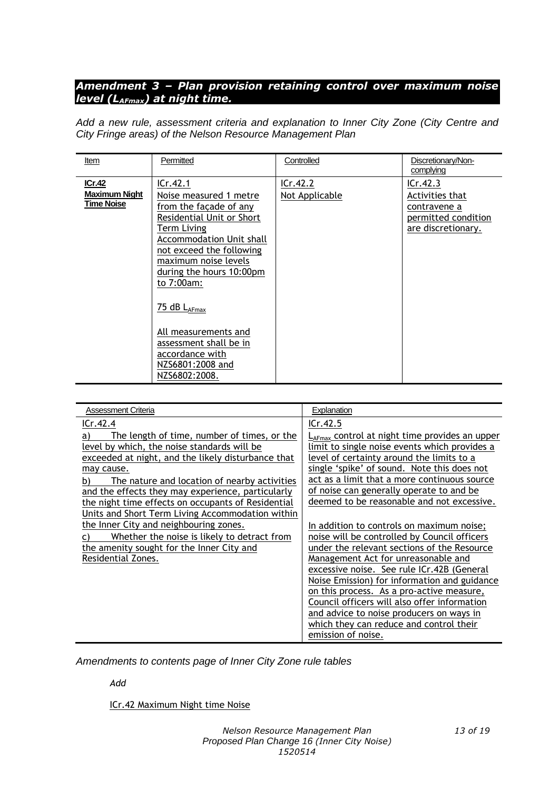### *Amendment 3 – Plan provision retaining control over maximum noise level (LAFmax) at night time.*

*Add a new rule, assessment criteria and explanation to Inner City Zone (City Centre and City Fringe areas) of the Nelson Resource Management Plan*

| Item                                         | Permitted                                                                                                                                                                                                                                                                                                                                                 | Controlled                 | Discretionary/Non-<br>complying                                                          |
|----------------------------------------------|-----------------------------------------------------------------------------------------------------------------------------------------------------------------------------------------------------------------------------------------------------------------------------------------------------------------------------------------------------------|----------------------------|------------------------------------------------------------------------------------------|
| ICr.42<br>Maximum Night<br><b>Time Noise</b> | ICr.42.1<br>Noise measured 1 metre<br>from the façade of any<br>Residential Unit or Short<br><b>Term Living</b><br><b>Accommodation Unit shall</b><br>not exceed the following<br>maximum noise levels<br>during the hours 10:00pm<br>to 7:00am:<br>75 dB LAFmax<br>All measurements and<br>assessment shall be in<br>accordance with<br>NZS6801:2008 and | ICr.42.2<br>Not Applicable | ICr.42.3<br>Activities that<br>contravene a<br>permitted condition<br>are discretionary. |
|                                              | NZS6802:2008.                                                                                                                                                                                                                                                                                                                                             |                            |                                                                                          |

| <b>Assessment Criteria</b>                                                                                                                                                                                                                                                                                                                                                                                                                                                                                                                            | <b>Explanation</b>                                                                                                                                                                                                                                                                                                                                                                                                                                                                                                                                                                                                                                                                                                                                                                                                                           |
|-------------------------------------------------------------------------------------------------------------------------------------------------------------------------------------------------------------------------------------------------------------------------------------------------------------------------------------------------------------------------------------------------------------------------------------------------------------------------------------------------------------------------------------------------------|----------------------------------------------------------------------------------------------------------------------------------------------------------------------------------------------------------------------------------------------------------------------------------------------------------------------------------------------------------------------------------------------------------------------------------------------------------------------------------------------------------------------------------------------------------------------------------------------------------------------------------------------------------------------------------------------------------------------------------------------------------------------------------------------------------------------------------------------|
| ICr.42.4                                                                                                                                                                                                                                                                                                                                                                                                                                                                                                                                              | ICr.42.5                                                                                                                                                                                                                                                                                                                                                                                                                                                                                                                                                                                                                                                                                                                                                                                                                                     |
| The length of time, number of times, or the<br>a)<br>level by which, the noise standards will be<br>exceeded at night, and the likely disturbance that<br>may cause.<br>The nature and location of nearby activities<br>b)<br>and the effects they may experience, particularly<br>the night time effects on occupants of Residential<br>Units and Short Term Living Accommodation within<br>the Inner City and neighbouring zones.<br>Whether the noise is likely to detract from<br>the amenity sought for the Inner City and<br>Residential Zones. | L <sub>AFmax</sub> control at night time provides an upper<br>limit to single noise events which provides a<br>level of certainty around the limits to a<br>single 'spike' of sound. Note this does not<br>act as a limit that a more continuous source<br>of noise can generally operate to and be<br>deemed to be reasonable and not excessive.<br>In addition to controls on maximum noise;<br>noise will be controlled by Council officers<br>under the relevant sections of the Resource<br>Management Act for unreasonable and<br>excessive noise. See rule ICr.42B (General<br>Noise Emission) for information and guidance<br>on this process. As a pro-active measure,<br>Council officers will also offer information<br>and advice to noise producers on ways in<br>which they can reduce and control their<br>emission of noise. |

*Amendments to contents page of Inner City Zone rule tables*

*Add*

ICr.42 Maximum Night time Noise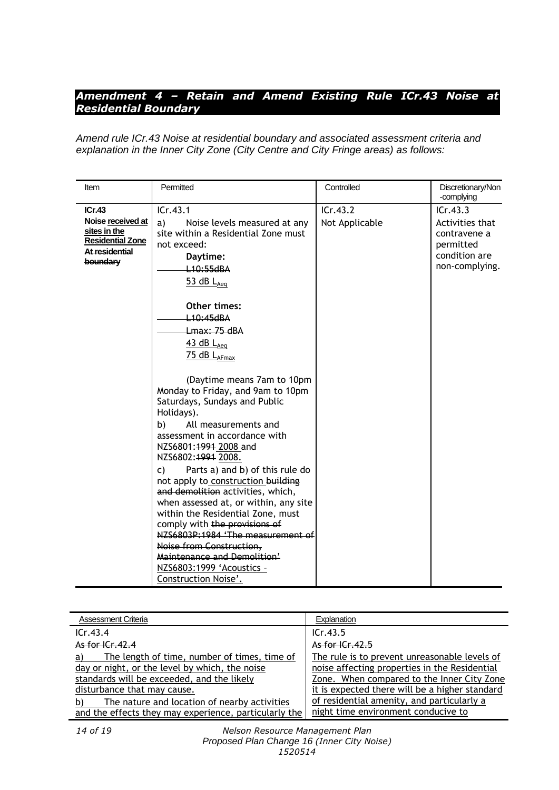## *Amendment 4 – Retain and Amend Existing Rule ICr.43 Noise at Residential Boundary*

*Amend rule ICr.43 Noise at residential boundary and associated assessment criteria and explanation in the Inner City Zone (City Centre and City Fringe areas) as follows:*

| Item                                                                                                 | Permitted                                                                                                                                                                                                                                                                                                                                                                                                                                                                                                                                                                                                                                                                                                          | Controlled                 | Discretionary/Non<br>-complying                                                             |
|------------------------------------------------------------------------------------------------------|--------------------------------------------------------------------------------------------------------------------------------------------------------------------------------------------------------------------------------------------------------------------------------------------------------------------------------------------------------------------------------------------------------------------------------------------------------------------------------------------------------------------------------------------------------------------------------------------------------------------------------------------------------------------------------------------------------------------|----------------------------|---------------------------------------------------------------------------------------------|
| ICr.43<br>Noise received at<br>sites in the<br><b>Residential Zone</b><br>At residential<br>boundary | ICr.43.1<br>Noise levels measured at any<br>a)<br>site within a Residential Zone must<br>not exceed:<br>Daytime:<br>L <sub>10</sub> :55dBA<br>$53$ dB $L_{Aea}$<br>Other times:<br>L <sub>10</sub> :45dBA<br><del>Lmax: 75 dBA</del><br>$43$ dB $L_{Aea}$<br>$75$ dB $L_{AFmax}$<br>(Daytime means 7am to 10pm<br>Monday to Friday, and 9am to 10pm<br>Saturdays, Sundays and Public<br>Holidays).<br>All measurements and<br>b)<br>assessment in accordance with<br>NZS6801:1991 2008 and<br>NZS6802:4994 2008.<br>Parts a) and b) of this rule do<br>C)<br>not apply to construction building<br>and demolition activities, which,<br>when assessed at, or within, any site<br>within the Residential Zone, must | ICr.43.2<br>Not Applicable | ICr.43.3<br>Activities that<br>contravene a<br>permitted<br>condition are<br>non-complying. |
|                                                                                                      | comply with the provisions of<br>NZS6803P:1984 'The measurement of<br>Noise from Construction,<br>Maintenance and Demolition'<br>NZS6803:1999 'Acoustics -<br>Construction Noise'.                                                                                                                                                                                                                                                                                                                                                                                                                                                                                                                                 |                            |                                                                                             |

| <b>Assessment Criteria</b>                                                                                                                                                                                                              | Explanation                                                                                                                                                                                                                                  |
|-----------------------------------------------------------------------------------------------------------------------------------------------------------------------------------------------------------------------------------------|----------------------------------------------------------------------------------------------------------------------------------------------------------------------------------------------------------------------------------------------|
| ICr.43.4                                                                                                                                                                                                                                | ICr.43.5                                                                                                                                                                                                                                     |
| As for $ Cr_42.4 $                                                                                                                                                                                                                      | As for $ Cr.42.5 $                                                                                                                                                                                                                           |
| The length of time, number of times, time of<br>a)<br>day or night, or the level by which, the noise<br>standards will be exceeded, and the likely<br>disturbance that may cause.<br>The nature and location of nearby activities<br>b) | The rule is to prevent unreasonable levels of<br>noise affecting properties in the Residential<br>Zone. When compared to the Inner City Zone<br>it is expected there will be a higher standard<br>of residential amenity, and particularly a |
| and the effects they may experience, particularly the                                                                                                                                                                                   | night time environment conducive to                                                                                                                                                                                                          |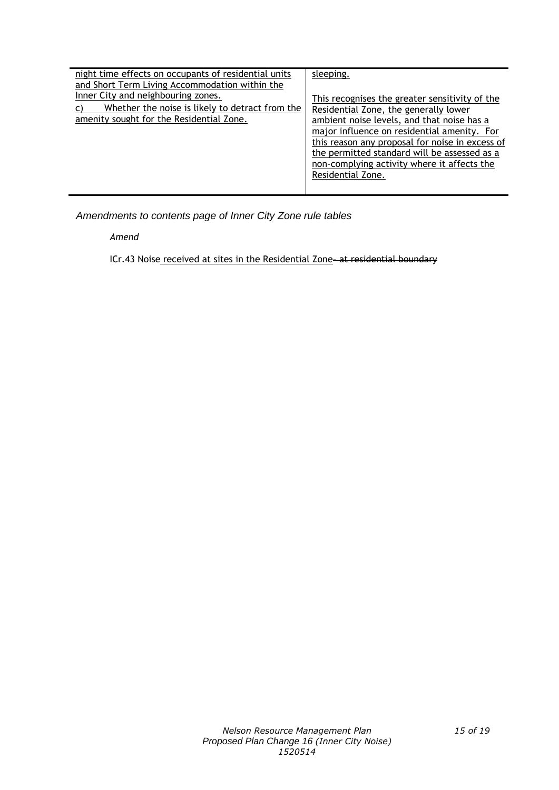| night time effects on occupants of residential units<br>and Short Term Living Accommodation within the | sleeping.                                       |
|--------------------------------------------------------------------------------------------------------|-------------------------------------------------|
|                                                                                                        |                                                 |
| Inner City and neighbouring zones.                                                                     | This recognises the greater sensitivity of the  |
| Whether the noise is likely to detract from the                                                        | Residential Zone, the generally lower           |
| amenity sought for the Residential Zone.                                                               | ambient noise levels, and that noise has a      |
|                                                                                                        | major influence on residential amenity. For     |
|                                                                                                        | this reason any proposal for noise in excess of |
|                                                                                                        | the permitted standard will be assessed as a    |
|                                                                                                        | non-complying activity where it affects the     |
|                                                                                                        | Residential Zone.                               |
|                                                                                                        |                                                 |

*Amendments to contents page of Inner City Zone rule tables*

*Amend*

ICr.43 Noise received at sites in the Residential Zone-at residential boundary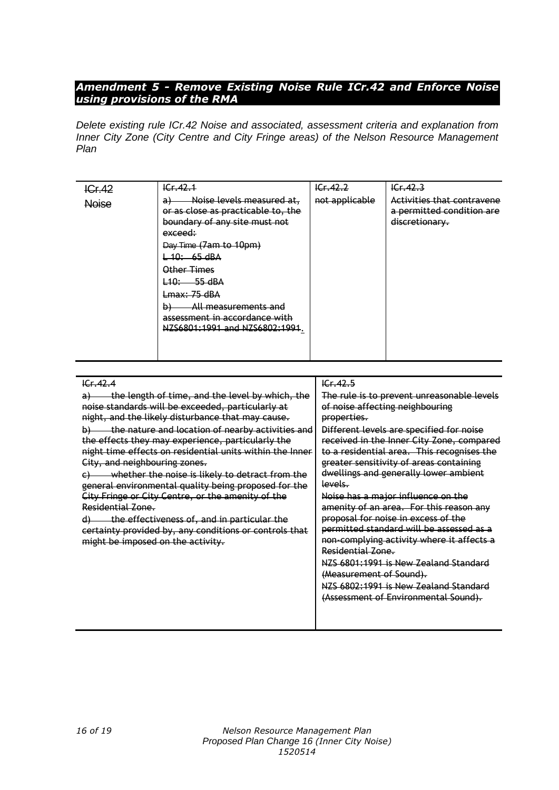## *Amendment 5 - Remove Existing Noise Rule ICr.42 and Enforce Noise using provisions of the RMA*

*Delete existing rule ICr.42 Noise and associated, assessment criteria and explanation from Inner City Zone (City Centre and City Fringe areas) of the Nelson Resource Management Plan*

| ICr.42       | ICF.42.1                                                                                                                                                                                                                                                                                                  | 1Cr, 42.2      | 1Cr, 42.3                                                                 |
|--------------|-----------------------------------------------------------------------------------------------------------------------------------------------------------------------------------------------------------------------------------------------------------------------------------------------------------|----------------|---------------------------------------------------------------------------|
| <b>Noise</b> | Noise levels measured at,<br>a<br>or as close as practicable to, the<br>boundary of any site must not<br>exceed:<br>Day Time (7am to 10pm)<br>$-40: 65dBA$<br>Other Times<br>L10: 55 dBA<br>Lmax: 75 dBA<br>All measurements and<br>Ð)<br>assessment in accordance with<br>NZS6801:1991 and NZS6802:1991. | not applicable | Activities that contravene<br>a permitted condition are<br>discretionary. |

| E.42.4                                                             | 16r, 42.5                                  |
|--------------------------------------------------------------------|--------------------------------------------|
| the length of time, and the level by which, the                    | The rule is to prevent unreasonable levels |
| noise standards will be exceeded, particularly at                  | of noise affecting neighbouring            |
| night, and the likely disturbance that may cause.                  | properties.                                |
| the nature and location of nearby activities and<br>$\overline{P}$ | Different levels are specified for noise   |
| the effects they may experience, particularly the                  | received in the Inner City Zone, compared  |
| night time effects on residential units within the Inner           | to a residential area. This recognises the |
| City, and neighbouring zones.                                      | greater sensitivity of areas containing    |
| whether the noise is likely to detract from the                    | dwellings and generally lower ambient      |
| general environmental quality being proposed for the               | levels.                                    |
| City Fringe or City Centre, or the amenity of the                  | Noise has a major influence on the         |
| Residential Zone.                                                  | amenity of an area. For this reason any    |
| the effectiveness of, and in particular the<br>$\theta$            | proposal for noise in excess of the        |
| certainty provided by, any conditions or controls that             | permitted standard will be assessed as a   |
| might be imposed on the activity.                                  | non-complying activity where it affects a  |
|                                                                    | Residential Zone.                          |
|                                                                    | NZS 6801:1991 is New Zealand Standard      |
|                                                                    | (Measurement of Sound).                    |
|                                                                    | NZS 6802:1991 is New Zealand Standard      |
|                                                                    | (Assessment of Environmental Sound).       |
|                                                                    |                                            |
|                                                                    |                                            |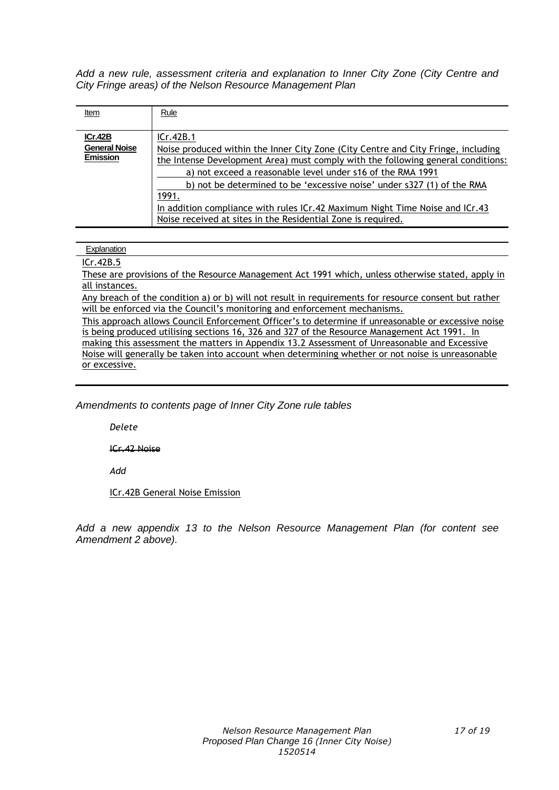*Add a new rule, assessment criteria and explanation to Inner City Zone (City Centre and City Fringe areas) of the Nelson Resource Management Plan*

| Item                 | Rule                                                                              |  |
|----------------------|-----------------------------------------------------------------------------------|--|
|                      |                                                                                   |  |
| ICr.42B              | ICr.42B.1                                                                         |  |
| <b>General Noise</b> | Noise produced within the Inner City Zone (City Centre and City Fringe, including |  |
| <b>Emission</b>      | the Intense Development Area) must comply with the following general conditions:  |  |
|                      | a) not exceed a reasonable level under s16 of the RMA 1991                        |  |
|                      | b) not be determined to be 'excessive noise' under s327 (1) of the RMA            |  |
|                      | 1991.                                                                             |  |
|                      | In addition compliance with rules ICr.42 Maximum Night Time Noise and ICr.43      |  |
|                      | Noise received at sites in the Residential Zone is required.                      |  |

#### **Explanation**

#### ICr.42B.5

These are provisions of the Resource Management Act 1991 which, unless otherwise stated, apply in all instances.

Any breach of the condition a) or b) will not result in requirements for resource consent but rather will be enforced via the Council's monitoring and enforcement mechanisms.

This approach allows Council Enforcement Officer's to determine if unreasonable or excessive noise is being produced utilising sections 16, 326 and 327 of the Resource Management Act 1991. In making this assessment the matters in Appendix 13.2 Assessment of Unreasonable and Excessive Noise will generally be taken into account when determining whether or not noise is unreasonable or excessive.

*Amendments to contents page of Inner City Zone rule tables*

*Delete*

ICr.42 Noise

*Add*

ICr.42B General Noise Emission

*Add a new appendix 13 to the Nelson Resource Management Plan (for content see Amendment 2 above).*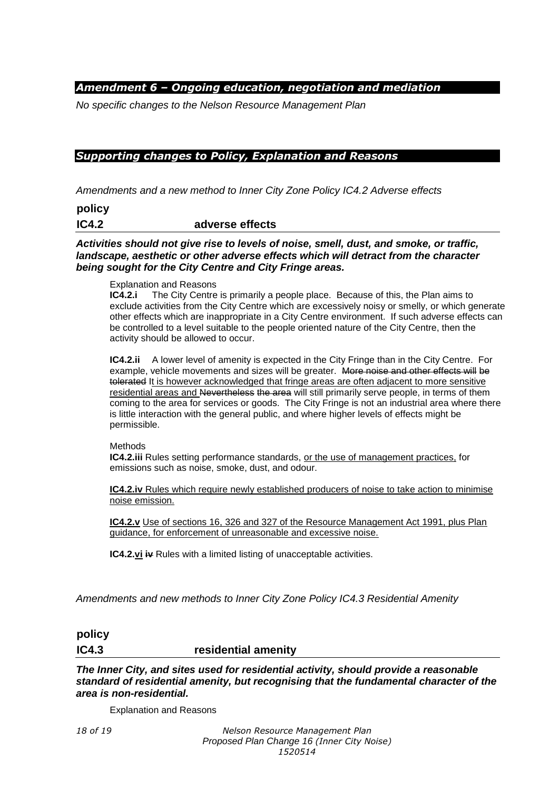## *Amendment 6 – Ongoing education, negotiation and mediation*

*No specific changes to the Nelson Resource Management Plan*

### *Supporting changes to Policy, Explanation and Reasons*

*Amendments and a new method to Inner City Zone Policy IC4.2 Adverse effects*

**policy IC4.2 adverse effects**

*Activities should not give rise to levels of noise, smell, dust, and smoke, or traffic, landscape, aesthetic or other adverse effects which will detract from the character being sought for the City Centre and City Fringe areas.* 

#### Explanation and Reasons

**IC4.2.i** The City Centre is primarily a people place. Because of this, the Plan aims to exclude activities from the City Centre which are excessively noisy or smelly, or which generate other effects which are inappropriate in a City Centre environment. If such adverse effects can be controlled to a level suitable to the people oriented nature of the City Centre, then the activity should be allowed to occur.

**IC4.2.ii** A lower level of amenity is expected in the City Fringe than in the City Centre. For example, vehicle movements and sizes will be greater. More noise and other effects will be tolerated It is however acknowledged that fringe areas are often adjacent to more sensitive residential areas and Nevertheless the area will still primarily serve people, in terms of them coming to the area for services or goods. The City Fringe is not an industrial area where there is little interaction with the general public, and where higher levels of effects might be permissible.

**Methods** 

**IC4.2.iii** Rules setting performance standards, or the use of management practices, for emissions such as noise, smoke, dust, and odour.

**IC4.2.iv** Rules which require newly established producers of noise to take action to minimise noise emission.

**IC4.2.v** Use of sections 16, 326 and 327 of the Resource Management Act 1991, plus Plan guidance, for enforcement of unreasonable and excessive noise.

**IC4.2.vi iv** Rules with a limited listing of unacceptable activities.

*Amendments and new methods to Inner City Zone Policy IC4.3 Residential Amenity*

# **policy IC4.3 residential amenity**

*The Inner City, and sites used for residential activity, should provide a reasonable standard of residential amenity, but recognising that the fundamental character of the area is non-residential.* 

Explanation and Reasons